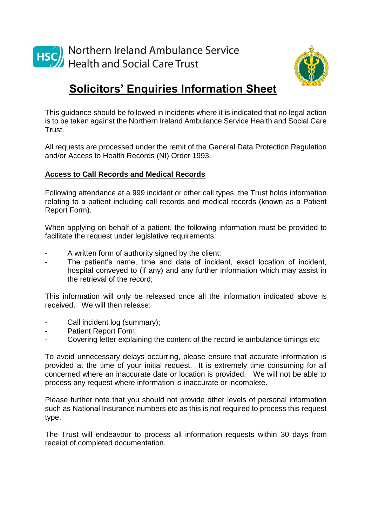



## **Solicitors' Enquiries Information Sheet**

This guidance should be followed in incidents where it is indicated that no legal action is to be taken against the Northern Ireland Ambulance Service Health and Social Care Trust.

All requests are processed under the remit of the General Data Protection Regulation and/or Access to Health Records (NI) Order 1993.

## **Access to Call Records and Medical Records**

Following attendance at a 999 incident or other call types, the Trust holds information relating to a patient including call records and medical records (known as a Patient Report Form).

When applying on behalf of a patient, the following information must be provided to facilitate the request under legislative requirements:

- A written form of authority signed by the client;
- The patient's name, time and date of incident, exact location of incident, hospital conveyed to (if any) and any further information which may assist in the retrieval of the record;

This information will only be released once all the information indicated above is received. We will then release:

- Call incident log (summary);
- Patient Report Form;
- Covering letter explaining the content of the record ie ambulance timings etc

To avoid unnecessary delays occurring, please ensure that accurate information is provided at the time of your initial request. It is extremely time consuming for all concerned where an inaccurate date or location is provided. We will not be able to process any request where information is inaccurate or incomplete.

Please further note that you should not provide other levels of personal information such as National Insurance numbers etc as this is not required to process this request type.

The Trust will endeavour to process all information requests within 30 days from receipt of completed documentation.